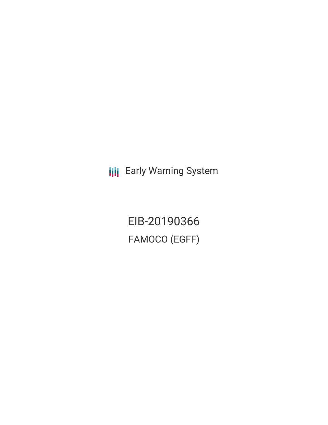**III** Early Warning System

EIB-20190366 FAMOCO (EGFF)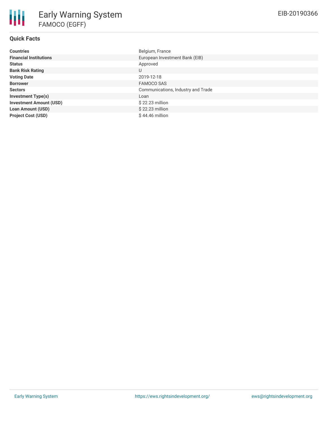| <b>Countries</b>               | Belgium, France                    |
|--------------------------------|------------------------------------|
| <b>Financial Institutions</b>  | European Investment Bank (EIB)     |
| <b>Status</b>                  | Approved                           |
| <b>Bank Risk Rating</b>        | U                                  |
| <b>Voting Date</b>             | 2019-12-18                         |
| <b>Borrower</b>                | <b>FAMOCO SAS</b>                  |
| <b>Sectors</b>                 | Communications, Industry and Trade |
| <b>Investment Type(s)</b>      | Loan                               |
| <b>Investment Amount (USD)</b> | $$22.23$ million                   |
| <b>Loan Amount (USD)</b>       | $$22.23$ million                   |
| <b>Project Cost (USD)</b>      | $$44.46$ million                   |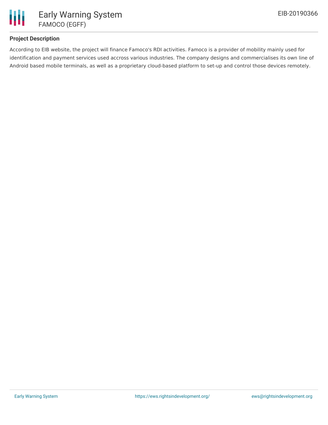

## **Project Description**

According to EIB website, the project will finance Famoco's RDI activities. Famoco is a provider of mobility mainly used for identification and payment services used accross various industries. The company designs and commercialises its own line of Android based mobile terminals, as well as a proprietary cloud-based platform to set-up and control those devices remotely.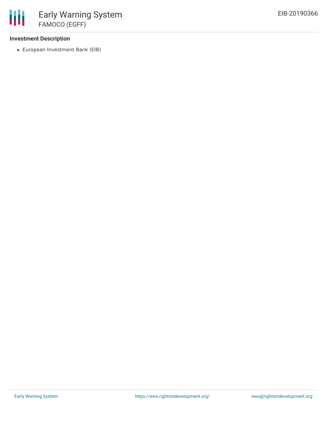### **Investment Description**

European Investment Bank (EIB)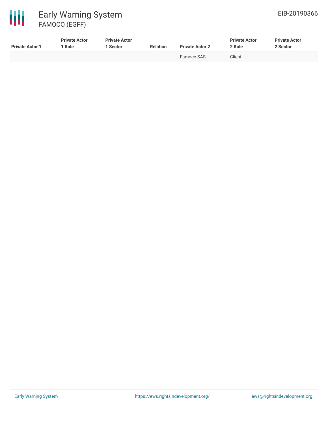# 冊 Early Warning System FAMOCO (EGFF)

| <b>Private Actor 1</b> | <b>Private Actor</b><br><b>Role</b> | <b>Private Actor</b><br><b>Sector</b> | <b>Relation</b>          | <b>Private Actor 2</b> | <b>Private Actor</b><br>2 Role | <b>Private Actor</b><br>2 Sector |
|------------------------|-------------------------------------|---------------------------------------|--------------------------|------------------------|--------------------------------|----------------------------------|
| $\sim$                 | -                                   | $\sim$                                | $\overline{\phantom{0}}$ | Famoco SAS             | Client                         |                                  |